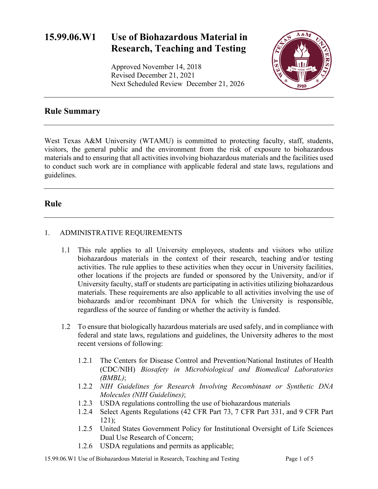# **15.99.06.W1 Use of Biohazardous Material in Research, Teaching and Testing**

Approved November 14, 2018 Revised December 21, 2021 Next Scheduled Review December 21, 2026



## **Rule Summary**

West Texas A&M University (WTAMU) is committed to protecting faculty, staff, students, visitors, the general public and the environment from the risk of exposure to biohazardous materials and to ensuring that all activities involving biohazardous materials and the facilities used to conduct such work are in compliance with applicable federal and state laws, regulations and guidelines.

### **Rule**

### 1. ADMINISTRATIVE REQUIREMENTS

- 1.1 This rule applies to all University employees, students and visitors who utilize biohazardous materials in the context of their research, teaching and/or testing activities. The rule applies to these activities when they occur in University facilities, other locations if the projects are funded or sponsored by the University, and/or if University faculty, staff or students are participating in activities utilizing biohazardous materials. These requirements are also applicable to all activities involving the use of biohazards and/or recombinant DNA for which the University is responsible, regardless of the source of funding or whether the activity is funded.
- 1.2 To ensure that biologically hazardous materials are used safely, and in compliance with federal and state laws, regulations and guidelines, the University adheres to the most recent versions of following:
	- 1.2.1 The Centers for Disease Control and Prevention/National Institutes of Health (CDC/NIH) *Biosafety in Microbiological and Biomedical Laboratories (BMBL)*;
	- 1.2.2 *NIH Guidelines for Research Involving Recombinant or Synthetic DNA Molecules (NIH Guidelines)*;
	- 1.2.3 USDA regulations controlling the use of biohazardous materials
	- 1.2.4 Select Agents Regulations (42 CFR Part 73, 7 CFR Part 331, and 9 CFR Part 121);
	- 1.2.5 United States Government Policy for Institutional Oversight of Life Sciences Dual Use Research of Concern;
	- 1.2.6 USDA regulations and permits as applicable;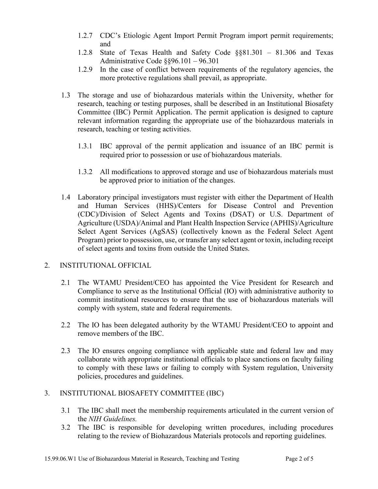- 1.2.7 CDC's Etiologic Agent Import Permit Program import permit requirements; and
- 1.2.8 State of Texas Health and Safety Code §§81.301 81.306 and Texas Administrative Code §§96.101 – 96.301
- 1.2.9 In the case of conflict between requirements of the regulatory agencies, the more protective regulations shall prevail, as appropriate.
- 1.3 The storage and use of biohazardous materials within the University, whether for research, teaching or testing purposes, shall be described in an Institutional Biosafety Committee (IBC) Permit Application. The permit application is designed to capture relevant information regarding the appropriate use of the biohazardous materials in research, teaching or testing activities.
	- 1.3.1 IBC approval of the permit application and issuance of an IBC permit is required prior to possession or use of biohazardous materials.
	- 1.3.2 All modifications to approved storage and use of biohazardous materials must be approved prior to initiation of the changes.
- 1.4 Laboratory principal investigators must register with either the Department of Health and Human Services (HHS)/Centers for Disease Control and Prevention (CDC)/Division of Select Agents and Toxins (DSAT) or U.S. Department of Agriculture (USDA)/Animal and Plant Health Inspection Service (APHIS)/Agriculture Select Agent Services (AgSAS) (collectively known as the Federal Select Agent Program) prior to possession, use, or transfer any select agent or toxin, including receipt of select agents and toxins from outside the United States.

#### 2. INSTITUTIONAL OFFICIAL

- 2.1 The WTAMU President/CEO has appointed the Vice President for Research and Compliance to serve as the Institutional Official (IO) with administrative authority to commit institutional resources to ensure that the use of biohazardous materials will comply with system, state and federal requirements.
- 2.2 The IO has been delegated authority by the WTAMU President/CEO to appoint and remove members of the IBC.
- 2.3 The IO ensures ongoing compliance with applicable state and federal law and may collaborate with appropriate institutional officials to place sanctions on faculty failing to comply with these laws or failing to comply with System regulation, University policies, procedures and guidelines.

#### 3. INSTITUTIONAL BIOSAFETY COMMITTEE (IBC)

- 3.1 The IBC shall meet the membership requirements articulated in the current version of the *NIH Guidelines.*
- 3.2 The IBC is responsible for developing written procedures, including procedures relating to the review of Biohazardous Materials protocols and reporting guidelines.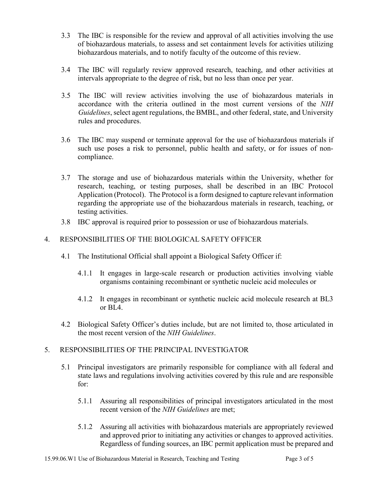- 3.3 The IBC is responsible for the review and approval of all activities involving the use of biohazardous materials, to assess and set containment levels for activities utilizing biohazardous materials, and to notify faculty of the outcome of this review.
- 3.4 The IBC will regularly review approved research, teaching, and other activities at intervals appropriate to the degree of risk, but no less than once per year.
- 3.5 The IBC will review activities involving the use of biohazardous materials in accordance with the criteria outlined in the most current versions of the *NIH Guidelines*, select agent regulations, the BMBL, and other federal, state, and University rules and procedures.
- 3.6 The IBC may suspend or terminate approval for the use of biohazardous materials if such use poses a risk to personnel, public health and safety, or for issues of noncompliance.
- 3.7 The storage and use of biohazardous materials within the University, whether for research, teaching, or testing purposes, shall be described in an IBC Protocol Application (Protocol). The Protocol is a form designed to capture relevant information regarding the appropriate use of the biohazardous materials in research, teaching, or testing activities.
- 3.8 IBC approval is required prior to possession or use of biohazardous materials.

### 4. RESPONSIBILITIES OF THE BIOLOGICAL SAFETY OFFICER

- 4.1 The Institutional Official shall appoint a Biological Safety Officer if:
	- 4.1.1 It engages in large-scale research or production activities involving viable organisms containing recombinant or synthetic nucleic acid molecules or
	- 4.1.2 It engages in recombinant or synthetic nucleic acid molecule research at BL3 or  $BIA$ .
- 4.2 Biological Safety Officer's duties include, but are not limited to, those articulated in the most recent version of the *NIH Guidelines*.

#### 5. RESPONSIBILITIES OF THE PRINCIPAL INVESTIGATOR

- 5.1 Principal investigators are primarily responsible for compliance with all federal and state laws and regulations involving activities covered by this rule and are responsible for:
	- 5.1.1 Assuring all responsibilities of principal investigators articulated in the most recent version of the *NIH Guidelines* are met;
	- 5.1.2 Assuring all activities with biohazardous materials are appropriately reviewed and approved prior to initiating any activities or changes to approved activities. Regardless of funding sources, an IBC permit application must be prepared and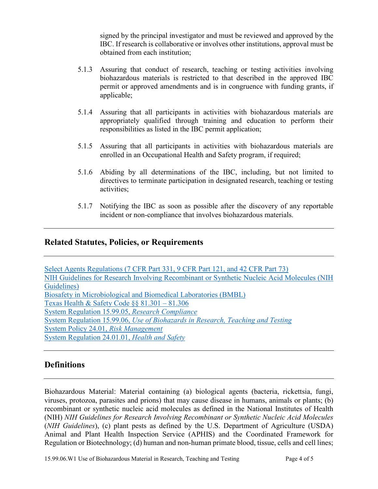signed by the principal investigator and must be reviewed and approved by the IBC. If research is collaborative or involves other institutions, approval must be obtained from each institution;

- 5.1.3 Assuring that conduct of research, teaching or testing activities involving biohazardous materials is restricted to that described in the approved IBC permit or approved amendments and is in congruence with funding grants, if applicable;
- 5.1.4 Assuring that all participants in activities with biohazardous materials are appropriately qualified through training and education to perform their responsibilities as listed in the IBC permit application;
- 5.1.5 Assuring that all participants in activities with biohazardous materials are enrolled in an Occupational Health and Safety program, if required;
- 5.1.6 Abiding by all determinations of the IBC, including, but not limited to directives to terminate participation in designated research, teaching or testing activities;
- 5.1.7 Notifying the IBC as soon as possible after the discovery of any reportable incident or non-compliance that involves biohazardous materials.

## **Related Statutes, Policies, or Requirements**

[Select Agents Regulations \(7 CFR Part 331, 9 CFR Part 121, and 42 CFR Part 73\)](https://www.selectagents.gov/sat/exclusions/index.htm) [NIH Guidelines for Research Involving Recombinant or Synthetic Nucleic Acid Molecules \(NIH](http://osp.od.nih.gov/office-biotechnology-activities/biosafety/nih-guidelines)  [Guidelines\)](http://osp.od.nih.gov/office-biotechnology-activities/biosafety/nih-guidelines) [Biosafety in Microbiological and Biomedical Laboratories \(BMBL\)](https://www.cdc.gov/biosafety/publications/bmbl5/index.htm) [Texas Health & Safety Code §§ 81.301 –](http://www.statutes.legis.state.tx.us/Docs/HS/htm/HS.81.htm#81.301) 81.306 [System Regulation 15.99.05,](http://policies.tamus.edu/15-99-05.pdf) *Research Compliance* System Regulation 15.99.06, *[Use of Biohazards in Research, Teaching and Testing](http://policies.tamus.edu/15-99-06.pdf)* [System Policy 24.01,](http://policies.tamus.edu/24-01.pdf) *Risk Management* [System Regulation 24.01.01,](http://policies.tamus.edu/24-01-01.pdf) *Health and Safety*

### **Definitions**

Biohazardous Material: Material containing (a) biological agents (bacteria, rickettsia, fungi, viruses, protozoa, parasites and prions) that may cause disease in humans, animals or plants; (b) recombinant or synthetic nucleic acid molecules as defined in the National Institutes of Health (NIH) *NIH Guidelines for Research Involving Recombinant or Synthetic Nucleic Acid Molecules* (*NIH Guidelines*), (c) plant pests as defined by the U.S. Department of Agriculture (USDA) Animal and Plant Health Inspection Service (APHIS) and the Coordinated Framework for Regulation or Biotechnology; (d) human and non-human primate blood, tissue, cells and cell lines;

15.99.06. W1 Use of Biohazardous Material in Research, Teaching and Testing Page 4 of 5